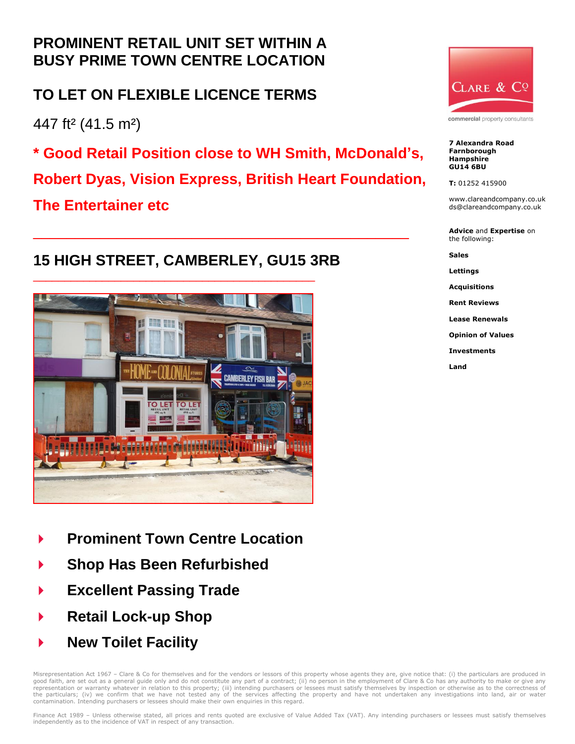## **PROMINENT RETAIL UNIT SET WITHIN A BUSY PRIME TOWN CENTRE LOCATION**

### **TO LET ON FLEXIBLE LICENCE TERMS**

447 ft² (41.5 m²)

**\* Good Retail Position close to WH Smith, McDonald's,**

**Robert Dyas, Vision Express, British Heart Foundation,** 

\_\_\_\_\_\_\_\_\_\_\_\_\_\_\_\_\_\_\_\_\_\_\_\_\_\_\_\_\_\_\_\_\_\_\_\_\_\_\_\_\_\_\_\_\_

**The Entertainer etc**

# **15 HIGH STREET, CAMBERLEY, GU15 3RB**



- **Prominent Town Centre Location**
- **Shop Has Been Refurbished**
- **Excellent Passing Trade**
- **Retail Lock-up Shop**
- **New Toilet Facility**

Misrepresentation Act 1967 - Clare & Co for themselves and for the vendors or lessors of this property whose agents they are, give notice that: (i) the particulars are produced in good faith, are set out as a general guide only and do not constitute any part of a contract; (ii) no person in the employment of Clare & Co has any authority to make or give any<br>representation or warranty whatever in rela the particulars; (iv) we confirm that we have not tested any of the services affecting the property and have not undertaken any investigations into land, air or water contamination. Intending purchasers or lessees should make their own enquiries in this regard.



commercial property consultants

**7 Alexandra Road Farnborough Hampshire GU14 6BU**

**T:** 01252 415900

www.clareandcompany.co.uk ds@clareandcompany.co.uk

**Advice** and **Expertise** on the following:

**Sales**

**Lettings**

**Acquisitions**

**Rent Reviews Lease Renewals**

**Opinion of Values**

**Investments**

**Land**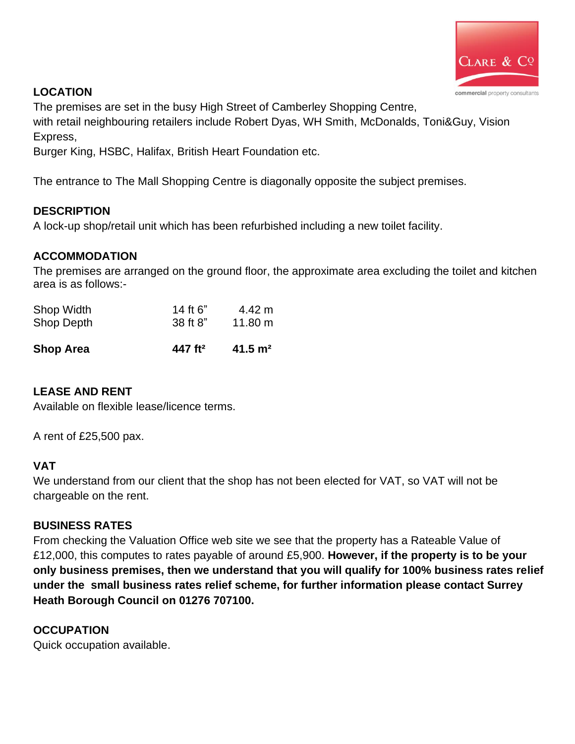

### **LOCATION**

The premises are set in the busy High Street of Camberley Shopping Centre,

with retail neighbouring retailers include Robert Dyas, WH Smith, McDonalds, Toni&Guy, Vision Express,

Burger King, HSBC, Halifax, British Heart Foundation etc.

The entrance to The Mall Shopping Centre is diagonally opposite the subject premises.

#### **DESCRIPTION**

A lock-up shop/retail unit which has been refurbished including a new toilet facility.

#### **ACCOMMODATION**

The premises are arranged on the ground floor, the approximate area excluding the toilet and kitchen area is as follows:-

| <b>Shop Area</b> | 447 ft <sup>2</sup> | $41.5 \text{ m}^2$ |
|------------------|---------------------|--------------------|
| Shop Depth       | 38 ft 8"            | $11.80 \text{ m}$  |
| Shop Width       | 14 ft 6"            | $4.42 \text{ m}$   |

#### **LEASE AND RENT**

Available on flexible lease/licence terms.

A rent of £25,500 pax.

#### **VAT**

We understand from our client that the shop has not been elected for VAT, so VAT will not be chargeable on the rent.

#### **BUSINESS RATES**

From checking the Valuation Office web site we see that the property has a Rateable Value of £12,000, this computes to rates payable of around £5,900. **However, if the property is to be your only business premises, then we understand that you will qualify for 100% business rates relief under the small business rates relief scheme, for further information please contact Surrey Heath Borough Council on 01276 707100.**

#### **OCCUPATION**

Quick occupation available.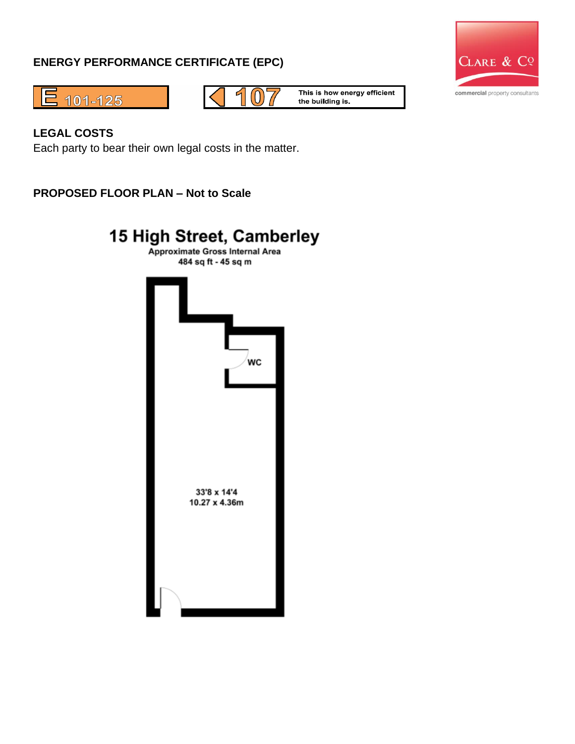#### **ENERGY PERFORMANCE CERTIFICATE (EPC)**







This is how energy efficient the building is.

#### **LEGAL COSTS**

Each party to bear their own legal costs in the matter.

**PROPOSED FLOOR PLAN – Not to Scale**